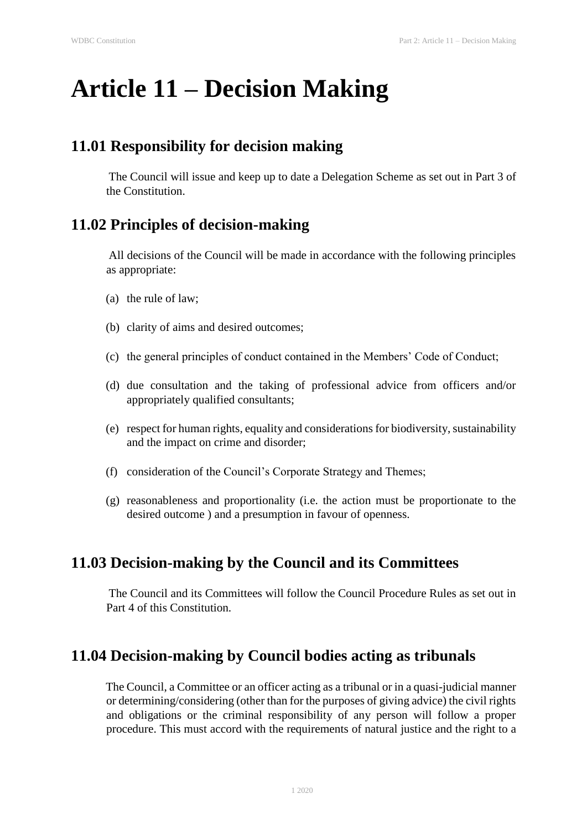# **Article 11 – Decision Making**

## **11.01 Responsibility for decision making**

The Council will issue and keep up to date a Delegation Scheme as set out in Part 3 of the Constitution.

# **11.02 Principles of decision-making**

All decisions of the Council will be made in accordance with the following principles as appropriate:

- (a) the rule of law;
- (b) clarity of aims and desired outcomes;
- (c) the general principles of conduct contained in the Members' Code of Conduct;
- (d) due consultation and the taking of professional advice from officers and/or appropriately qualified consultants;
- (e) respect for human rights, equality and considerations for biodiversity, sustainability and the impact on crime and disorder;
- (f) consideration of the Council's Corporate Strategy and Themes;
- (g) reasonableness and proportionality (i.e. the action must be proportionate to the desired outcome ) and a presumption in favour of openness.

## **11.03 Decision-making by the Council and its Committees**

The Council and its Committees will follow the Council Procedure Rules as set out in Part 4 of this Constitution.

## **11.04 Decision-making by Council bodies acting as tribunals**

The Council, a Committee or an officer acting as a tribunal or in a quasi-judicial manner or determining/considering (other than for the purposes of giving advice) the civil rights and obligations or the criminal responsibility of any person will follow a proper procedure. This must accord with the requirements of natural justice and the right to a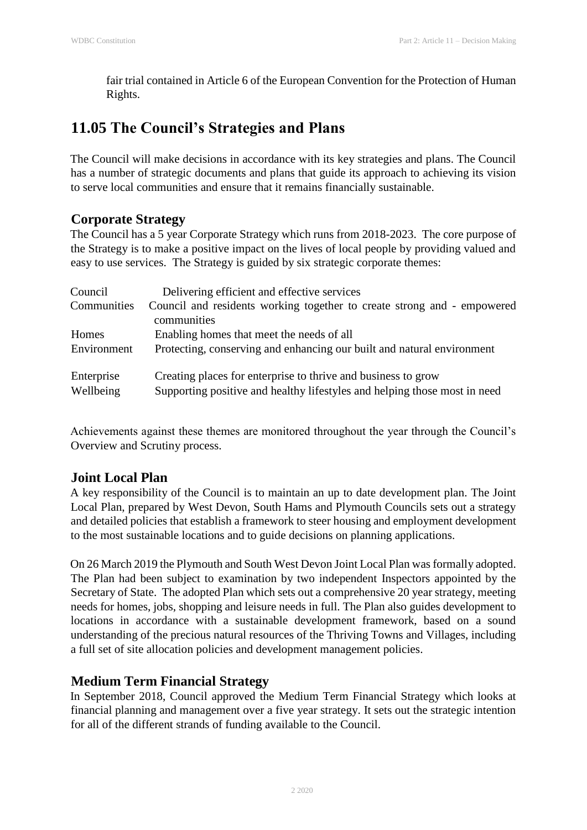fair trial contained in Article 6 of the European Convention for the Protection of Human Rights.

# **11.05 The Council's Strategies and Plans**

The Council will make decisions in accordance with its key strategies and plans. The Council has a number of strategic documents and plans that guide its approach to achieving its vision to serve local communities and ensure that it remains financially sustainable.

#### **Corporate Strategy**

The Council has a 5 year Corporate Strategy which runs from 2018-2023. The core purpose of the Strategy is to make a positive impact on the lives of local people by providing valued and easy to use services. The Strategy is guided by six strategic corporate themes:

| Council                 | Delivering efficient and effective services                                                                                                |
|-------------------------|--------------------------------------------------------------------------------------------------------------------------------------------|
| Communities             | Council and residents working together to create strong and - empowered<br>communities                                                     |
| Homes                   | Enabling homes that meet the needs of all                                                                                                  |
| Environment             | Protecting, conserving and enhancing our built and natural environment                                                                     |
| Enterprise<br>Wellbeing | Creating places for enterprise to thrive and business to grow<br>Supporting positive and healthy lifestyles and helping those most in need |

Achievements against these themes are monitored throughout the year through the Council's Overview and Scrutiny process.

## **Joint Local Plan**

A key responsibility of the Council is to maintain an up to date development plan. The Joint Local Plan, prepared by West Devon, South Hams and Plymouth Councils sets out a strategy and detailed policies that establish a framework to steer housing and employment development to the most sustainable locations and to guide decisions on planning applications.

On 26 March 2019 the Plymouth and South West Devon Joint Local Plan was formally adopted. The Plan had been subject to examination by two independent Inspectors appointed by the Secretary of State. The adopted Plan which sets out a comprehensive 20 year strategy, meeting needs for homes, jobs, shopping and leisure needs in full. The Plan also guides development to locations in accordance with a sustainable development framework, based on a sound understanding of the precious natural resources of the Thriving Towns and Villages, including a full set of site allocation policies and development management policies.

## **Medium Term Financial Strategy**

In September 2018, Council approved the Medium Term Financial Strategy which looks at financial planning and management over a five year strategy. It sets out the strategic intention for all of the different strands of funding available to the Council.